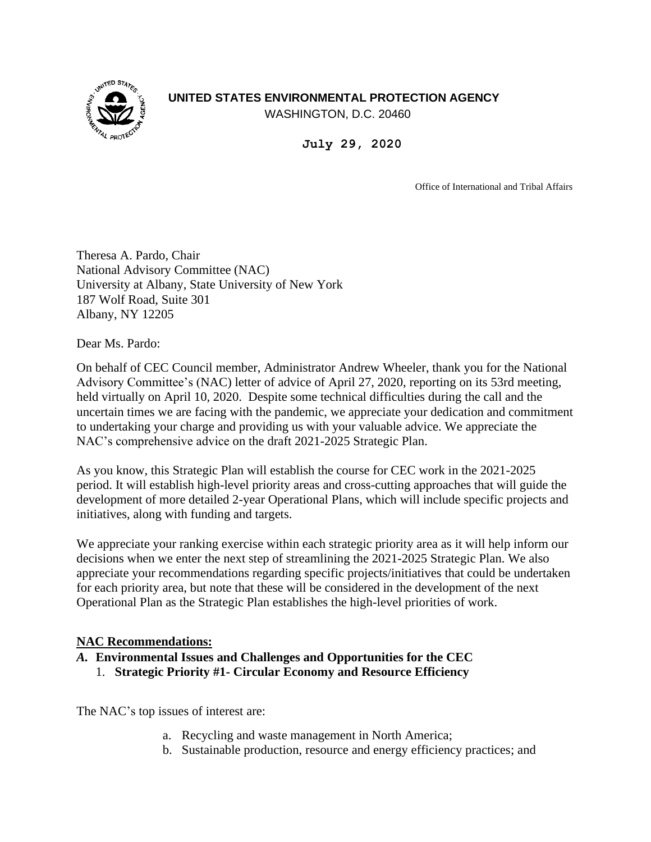## **UNITED STATES ENVIRONMENTAL PROTECTION AGENCY**



WASHINGTON, D.C. 20460

**July 29, 2020**

Office of International and Tribal Affairs

Theresa A. Pardo, Chair National Advisory Committee (NAC) University at Albany, State University of New York 187 Wolf Road, Suite 301 Albany, NY 12205

Dear Ms. Pardo:

On behalf of CEC Council member, Administrator Andrew Wheeler, thank you for the National Advisory Committee's (NAC) letter of advice of April 27, 2020, reporting on its 53rd meeting, held virtually on April 10, 2020. Despite some technical difficulties during the call and the uncertain times we are facing with the pandemic, we appreciate your dedication and commitment to undertaking your charge and providing us with your valuable advice. We appreciate the NAC's comprehensive advice on the draft 2021-2025 Strategic Plan.

As you know, this Strategic Plan will establish the course for CEC work in the 2021-2025 period. It will establish high-level priority areas and cross-cutting approaches that will guide the development of more detailed 2-year Operational Plans, which will include specific projects and initiatives, along with funding and targets.

We appreciate your ranking exercise within each strategic priority area as it will help inform our decisions when we enter the next step of streamlining the 2021-2025 Strategic Plan. We also appreciate your recommendations regarding specific projects/initiatives that could be undertaken for each priority area, but note that these will be considered in the development of the next Operational Plan as the Strategic Plan establishes the high-level priorities of work.

#### **NAC Recommendations:**

- *A.* **Environmental Issues and Challenges and Opportunities for the CEC**
	- 1. **Strategic Priority #1- Circular Economy and Resource Efficiency**

The NAC's top issues of interest are:

- a. Recycling and waste management in North America;
- b. Sustainable production, resource and energy efficiency practices; and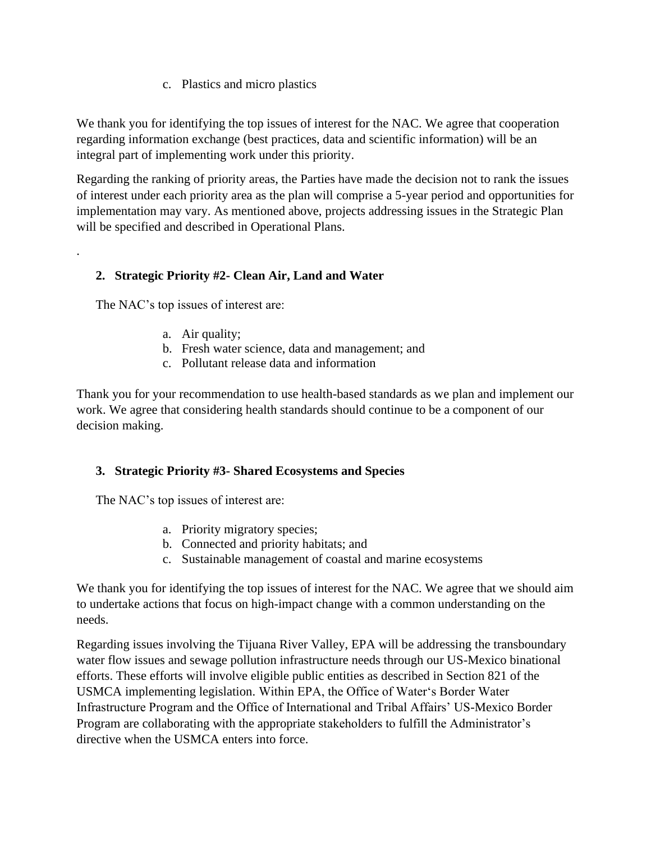c. Plastics and micro plastics

We thank you for identifying the top issues of interest for the NAC. We agree that cooperation regarding information exchange (best practices, data and scientific information) will be an integral part of implementing work under this priority.

Regarding the ranking of priority areas, the Parties have made the decision not to rank the issues of interest under each priority area as the plan will comprise a 5-year period and opportunities for implementation may vary. As mentioned above, projects addressing issues in the Strategic Plan will be specified and described in Operational Plans.

# **2. Strategic Priority #2- Clean Air, Land and Water**

The NAC's top issues of interest are:

.

- a. Air quality;
- b. Fresh water science, data and management; and
- c. Pollutant release data and information

Thank you for your recommendation to use health-based standards as we plan and implement our work. We agree that considering health standards should continue to be a component of our decision making.

## **3. Strategic Priority #3- Shared Ecosystems and Species**

The NAC's top issues of interest are:

- a. Priority migratory species;
- b. Connected and priority habitats; and
- c. Sustainable management of coastal and marine ecosystems

We thank you for identifying the top issues of interest for the NAC. We agree that we should aim to undertake actions that focus on high-impact change with a common understanding on the needs.

Regarding issues involving the Tijuana River Valley, EPA will be addressing the transboundary water flow issues and sewage pollution infrastructure needs through our US-Mexico binational efforts. These efforts will involve eligible public entities as described in Section 821 of the USMCA implementing legislation. Within EPA, the Office of Water's Border Water Infrastructure Program and the Office of International and Tribal Affairs' US-Mexico Border Program are collaborating with the appropriate stakeholders to fulfill the Administrator's directive when the USMCA enters into force.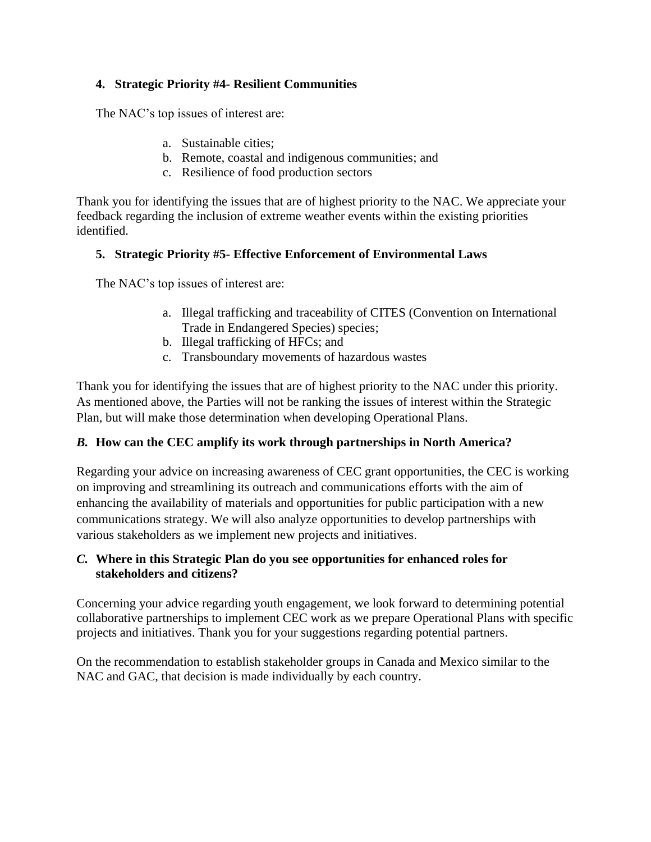## **4. Strategic Priority #4- Resilient Communities**

The NAC's top issues of interest are:

- a. Sustainable cities;
- b. Remote, coastal and indigenous communities; and
- c. Resilience of food production sectors

Thank you for identifying the issues that are of highest priority to the NAC. We appreciate your feedback regarding the inclusion of extreme weather events within the existing priorities identified.

## **5. Strategic Priority #5- Effective Enforcement of Environmental Laws**

The NAC's top issues of interest are:

- a. Illegal trafficking and traceability of CITES (Convention on International Trade in Endangered Species) species;
- b. Illegal trafficking of HFCs; and
- c. Transboundary movements of hazardous wastes

Thank you for identifying the issues that are of highest priority to the NAC under this priority. As mentioned above, the Parties will not be ranking the issues of interest within the Strategic Plan, but will make those determination when developing Operational Plans.

## *B.* **How can the CEC amplify its work through partnerships in North America?**

Regarding your advice on increasing awareness of CEC grant opportunities, the CEC is working on improving and streamlining its outreach and communications efforts with the aim of enhancing the availability of materials and opportunities for public participation with a new communications strategy. We will also analyze opportunities to develop partnerships with various stakeholders as we implement new projects and initiatives.

### *C.* **Where in this Strategic Plan do you see opportunities for enhanced roles for stakeholders and citizens?**

Concerning your advice regarding youth engagement, we look forward to determining potential collaborative partnerships to implement CEC work as we prepare Operational Plans with specific projects and initiatives. Thank you for your suggestions regarding potential partners.

On the recommendation to establish stakeholder groups in Canada and Mexico similar to the NAC and GAC, that decision is made individually by each country.